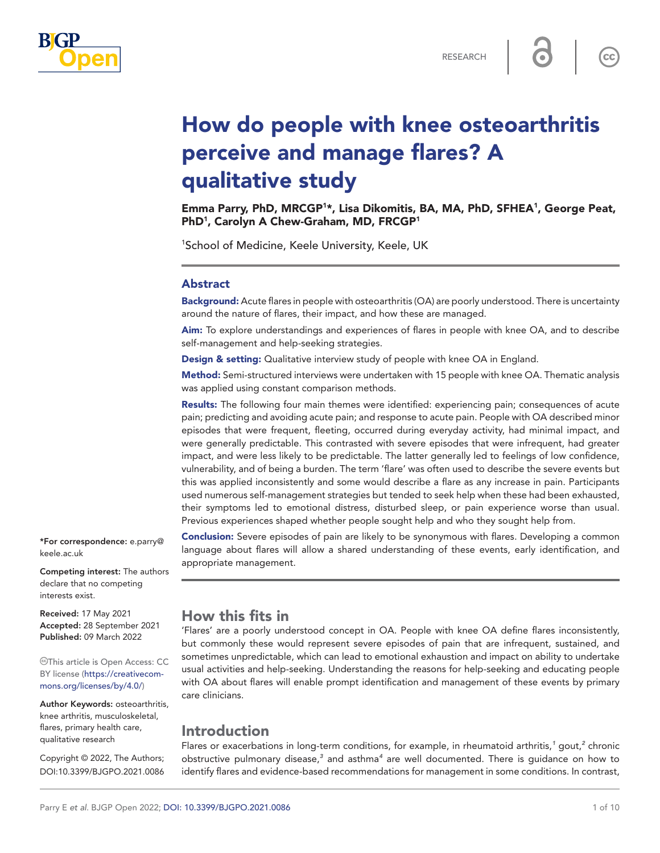

 $\mathsf{cc}$ 

# How do people with knee osteoarthritis perceive and manage flares? A qualitative study

Emma Parry, PhD, MRCGP<sup>1\*</sup>, Lisa Dikomitis, BA, MA, PhD, SFHEA<sup>1</sup>, George Peat, PhD<sup>1</sup>, Carolyn A Chew-Graham, MD, FRCGP<sup>1</sup>

1 School of Medicine, Keele University, Keele, UK

#### Abstract

Background: Acute flares in people with osteoarthritis (OA) are poorly understood. There is uncertainty around the nature of flares, their impact, and how these are managed.

Aim: To explore understandings and experiences of flares in people with knee OA, and to describe self-management and help-seeking strategies.

Design & setting: Qualitative interview study of people with knee OA in England.

Method: Semi-structured interviews were undertaken with 15 people with knee OA. Thematic analysis was applied using constant comparison methods.

Results: The following four main themes were identified: experiencing pain; consequences of acute pain; predicting and avoiding acute pain; and response to acute pain. People with OA described minor episodes that were frequent, fleeting, occurred during everyday activity, had minimal impact, and were generally predictable. This contrasted with severe episodes that were infrequent, had greater impact, and were less likely to be predictable. The latter generally led to feelings of low confidence, vulnerability, and of being a burden. The term 'flare' was often used to describe the severe events but this was applied inconsistently and some would describe a flare as any increase in pain. Participants used numerous self-management strategies but tended to seek help when these had been exhausted, their symptoms led to emotional distress, disturbed sleep, or pain experience worse than usual. Previous experiences shaped whether people sought help and who they sought help from.

**Conclusion:** Severe episodes of pain are likely to be synonymous with flares. Developing a common language about flares will allow a shared understanding of these events, early identification, and appropriate management.

\*For correspondence: [e.parry@](mailto:e.parry@keele.ac.uk) [keele.ac.uk](mailto:e.parry@keele.ac.uk)

Competing interest: The authors declare that no competing interests exist.

Received: 17 May 2021 Accepted: 28 September 2021 Published: 09 March 2022

This article is Open Access: CC BY license [\(https://creativecom](https://creativecommons.org/licenses/by/4.0/)[mons.org/licenses/by/4.0/\)](https://creativecommons.org/licenses/by/4.0/)

Author Keywords: osteoarthritis, knee arthritis, musculoskeletal, flares, primary health care, qualitative research

Copyright © 2022, The Authors; DOI:10.3399/BJGPO.2021.0086

# How this fits in

'Flares' are a poorly understood concept in OA. People with knee OA define flares inconsistently, but commonly these would represent severe episodes of pain that are infrequent, sustained, and sometimes unpredictable, which can lead to emotional exhaustion and impact on ability to undertake usual activities and help-seeking. Understanding the reasons for help-seeking and educating people with OA about flares will enable prompt identification and management of these events by primary care clinicians.

# Introduction

Flares or exacerbations in long-term conditions, for example, in rheumatoid arthritis,<sup>[1](#page-8-0)</sup> gout,<sup>[2](#page-8-1)</sup> chronic obstructive pulmonary disease,*[3](#page-8-2)* and asthma*[4](#page-8-3)* are well documented. There is guidance on how to identify flares and evidence-based recommendations for management in some conditions. In contrast,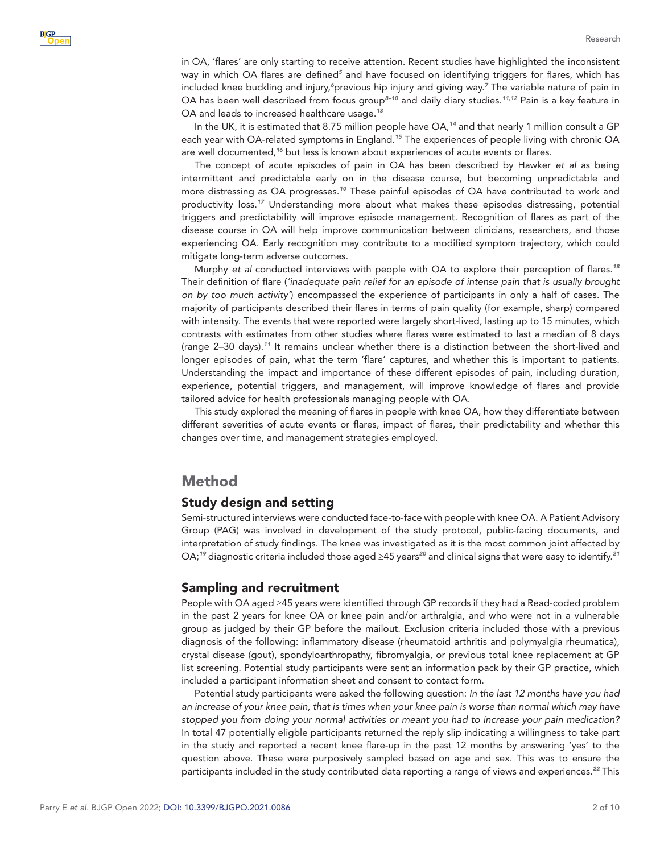in OA, 'flares' are only starting to receive attention. Recent studies have highlighted the inconsistent way in which OA flares are defined<sup>[5](#page-8-4)</sup> and have focused on identifying triggers for flares, which has included knee buckling and injury,<sup>[6](#page-8-5)</sup>previous hip injury and giving way.<sup>[7](#page-8-6)</sup> The variable nature of pain in OA has been well described from focus group*[8–10](#page-8-7)* and daily diary studies.*[11,12](#page-8-8)* Pain is a key feature in OA and leads to increased healthcare usage.*[13](#page-8-9)*

In the UK, it is estimated that 8.75 million people have OA,*[14](#page-8-10)* and that nearly 1 million consult a GP each year with OA-related symptoms in England.*[15](#page-8-11)* The experiences of people living with chronic OA are well documented,*[16](#page-9-0)* but less is known about experiences of acute events or flares.

The concept of acute episodes of pain in OA has been described by Hawker *et al* as being intermittent and predictable early on in the disease course, but becoming unpredictable and more distressing as OA progresses.*[10](#page-8-12)* These painful episodes of OA have contributed to work and productivity loss.*[17](#page-9-1)* Understanding more about what makes these episodes distressing, potential triggers and predictability will improve episode management. Recognition of flares as part of the disease course in OA will help improve communication between clinicians, researchers, and those experiencing OA. Early recognition may contribute to a modified symptom trajectory, which could mitigate long-term adverse outcomes.

Murphy *et al* conducted interviews with people with OA to explore their perception of flares.*[18](#page-9-2)* Their definition of flare (*'inadequate pain relief for an episode of intense pain that is usually brought on by too much activity'*) encompassed the experience of participants in only a half of cases. The majority of participants described their flares in terms of pain quality (for example, sharp) compared with intensity. The events that were reported were largely short-lived, lasting up to 15 minutes, which contrasts with estimates from other studies where flares were estimated to last a median of 8 days (range 2–30 days).*[11](#page-8-8)* It remains unclear whether there is a distinction between the short-lived and longer episodes of pain, what the term 'flare' captures, and whether this is important to patients. Understanding the impact and importance of these different episodes of pain, including duration, experience, potential triggers, and management, will improve knowledge of flares and provide tailored advice for health professionals managing people with OA.

This study explored the meaning of flares in people with knee OA, how they differentiate between different severities of acute events or flares, impact of flares, their predictability and whether this changes over time, and management strategies employed.

## Method

## Study design and setting

Semi-structured interviews were conducted face-to-face with people with knee OA. A Patient Advisory Group (PAG) was involved in development of the study protocol, public-facing documents, and interpretation of study findings. The knee was investigated as it is the most common joint affected by OA;*[19](#page-9-3)* diagnostic criteria included those aged ≥45 years*[20](#page-9-4)* and clinical signs that were easy to identify.*[21](#page-9-5)*

#### Sampling and recruitment

People with OA aged ≥45 years were identified through GP records if they had a Read-coded problem in the past 2 years for knee OA or knee pain and/or arthralgia, and who were not in a vulnerable group as judged by their GP before the mailout. Exclusion criteria included those with a previous diagnosis of the following: inflammatory disease (rheumatoid arthritis and polymyalgia rheumatica), crystal disease (gout), spondyloarthropathy, fibromyalgia, or previous total knee replacement at GP list screening. Potential study participants were sent an information pack by their GP practice, which included a participant information sheet and consent to contact form.

Potential study participants were asked the following question: *In the last 12 months have you had an increase of your knee pain, that is times when your knee pain is worse than normal which may have stopped you from doing your normal activities or meant you had to increase your pain medication?* In total 47 potentially eligble participants returned the reply slip indicating a willingness to take part in the study and reported a recent knee flare-up in the past 12 months by answering 'yes' to the question above. These were purposively sampled based on age and sex. This was to ensure the participants included in the study contributed data reporting a range of views and experiences.*[22](#page-9-6)* This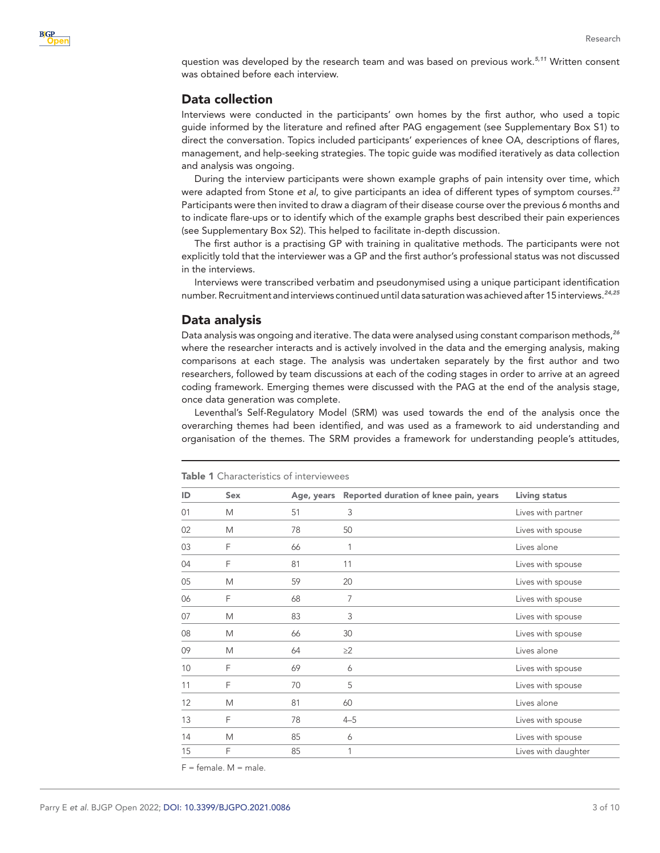question was developed by the research team and was based on previous work.*[5,11](#page-8-4)* Written consent was obtained before each interview.

## Data collection

Interviews were conducted in the participants' own homes by the first author, who used a topic guide informed by the literature and refined after PAG engagement (see Supplementary Box S1) to direct the conversation. Topics included participants' experiences of knee OA, descriptions of flares, management, and help-seeking strategies. The topic guide was modified iteratively as data collection and analysis was ongoing.

During the interview participants were shown example graphs of pain intensity over time, which were adapted from Stone *et al*, to give participants an idea of different types of symptom courses.*[23](#page-9-7)* Participants were then invited to draw a diagram of their disease course over the previous 6 months and to indicate flare-ups or to identify which of the example graphs best described their pain experiences (see Supplementary Box S2). This helped to facilitate in-depth discussion.

The first author is a practising GP with training in qualitative methods. The participants were not explicitly told that the interviewer was a GP and the first author's professional status was not discussed in the interviews.

Interviews were transcribed verbatim and pseudonymised using a unique participant identification number. Recruitment and interviews continued until data saturation was achieved after 15 interviews.*[24,25](#page-9-8)*

## Data analysis

Data analysis was ongoing and iterative. The data were analysed using constant comparison methods,*[26](#page-9-9)* where the researcher interacts and is actively involved in the data and the emerging analysis, making comparisons at each stage. The analysis was undertaken separately by the first author and two researchers, followed by team discussions at each of the coding stages in order to arrive at an agreed coding framework. Emerging themes were discussed with the PAG at the end of the analysis stage, once data generation was complete.

Leventhal's Self-Regulatory Model (SRM) was used towards the end of the analysis once the overarching themes had been identified, and was used as a framework to aid understanding and organisation of the themes. The SRM provides a framework for understanding people's attitudes,

| ID | Sex | Age, years | Reported duration of knee pain, years | <b>Living status</b> |
|----|-----|------------|---------------------------------------|----------------------|
| 01 | M   | 51         | 3                                     | Lives with partner   |
| 02 | M   | 78         | 50                                    | Lives with spouse    |
| 03 | F   | 66         | 1                                     | Lives alone          |
| 04 | F   | 81         | 11                                    | Lives with spouse    |
| 05 | M   | 59         | 20                                    | Lives with spouse    |
| 06 | F   | 68         | 7                                     | Lives with spouse    |
| 07 | M   | 83         | 3                                     | Lives with spouse    |
| 08 | M   | 66         | 30                                    | Lives with spouse    |
| 09 | M   | 64         | $\geq$ 2                              | Lives alone          |
| 10 | F   | 69         | 6                                     | Lives with spouse    |
| 11 | F   | 70         | 5                                     | Lives with spouse    |
| 12 | M   | 81         | 60                                    | Lives alone          |
| 13 | F   | 78         | $4 - 5$                               | Lives with spouse    |
| 14 | M   | 85         | 6                                     | Lives with spouse    |
| 15 | F   | 85         | 1                                     | Lives with daughter  |

<span id="page-2-0"></span>Table 1 Characteristics of interviewees

 $F =$  female.  $M =$  male.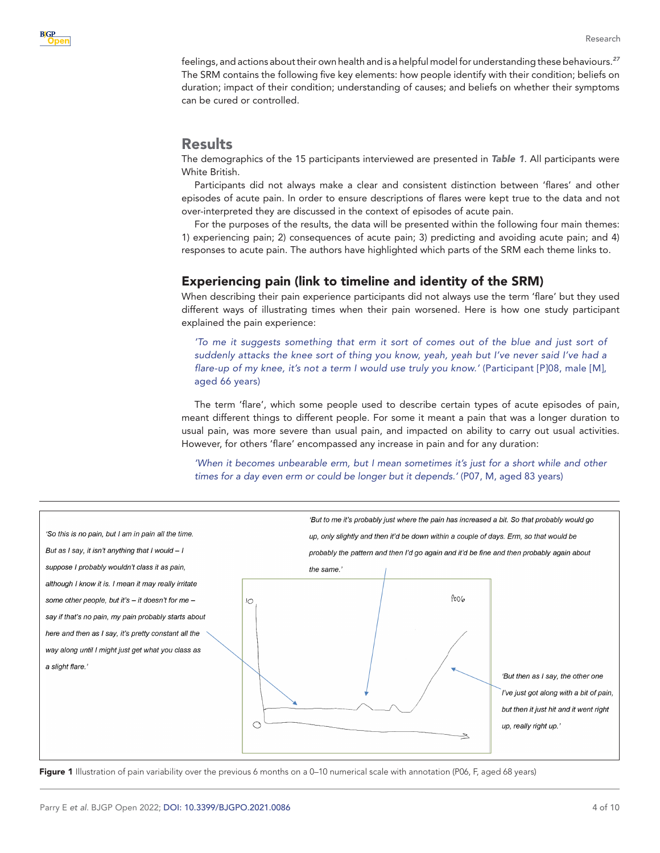feelings, and actions about their own health and is a helpful model for understanding these behaviours.*[27](#page-9-10)* The SRM contains the following five key elements: how people identify with their condition; beliefs on duration; impact of their condition; understanding of causes; and beliefs on whether their symptoms can be cured or controlled.

## Results

The demographics of the 15 participants interviewed are presented in *[Table 1](#page-2-0)*. All participants were White British.

Participants did not always make a clear and consistent distinction between 'flares' and other episodes of acute pain. In order to ensure descriptions of flares were kept true to the data and not over-interpreted they are discussed in the context of episodes of acute pain.

For the purposes of the results, the data will be presented within the following four main themes: 1) experiencing pain; 2) consequences of acute pain; 3) predicting and avoiding acute pain; and 4) responses to acute pain. The authors have highlighted which parts of the SRM each theme links to.

## Experiencing pain (link to timeline and identity of the SRM)

When describing their pain experience participants did not always use the term 'flare' but they used different ways of illustrating times when their pain worsened. Here is how one study participant explained the pain experience:

*'To me it suggests something that erm it sort of comes out of the blue and just sort of suddenly attacks the knee sort of thing you know, yeah, yeah but I've never said I've had a flare-up of my knee, it's not a term I would use truly you know.'* (Participant [P]08, male [M], aged 66 years)

The term 'flare', which some people used to describe certain types of acute episodes of pain, meant different things to different people. For some it meant a pain that was a longer duration to usual pain, was more severe than usual pain, and impacted on ability to carry out usual activities. However, for others 'flare' encompassed any increase in pain and for any duration:

*'When it becomes unbearable erm, but I mean sometimes it's just for a short while and other times for a day even erm or could be longer but it depends.'* (P07, M, aged 83 years)



<span id="page-3-0"></span>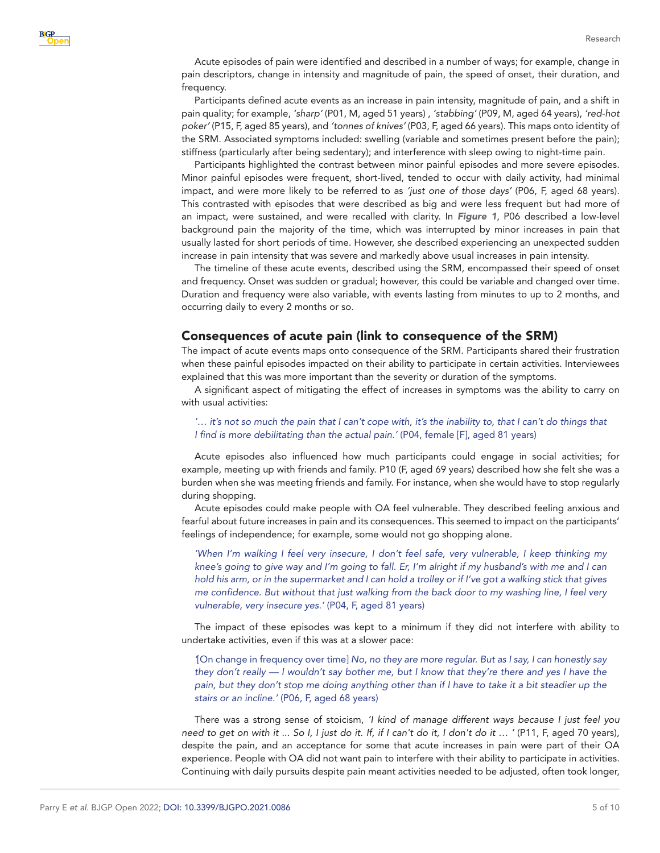Acute episodes of pain were identified and described in a number of ways; for example, change in pain descriptors, change in intensity and magnitude of pain, the speed of onset, their duration, and frequency.

Participants defined acute events as an increase in pain intensity, magnitude of pain, and a shift in pain quality; for example, *'sharp'* (P01, M, aged 51 years) , *'stabbing'* (P09, M, aged 64 years), *'red-hot poker'* (P15, F, aged 85 years), and *'tonnes of knives'* (P03, F, aged 66 years). This maps onto identity of the SRM. Associated symptoms included: swelling (variable and sometimes present before the pain); stiffness (particularly after being sedentary); and interference with sleep owing to night-time pain.

Participants highlighted the contrast between minor painful episodes and more severe episodes. Minor painful episodes were frequent, short-lived, tended to occur with daily activity, had minimal impact, and were more likely to be referred to as *'just one of those days'* (P06, F, aged 68 years). This contrasted with episodes that were described as big and were less frequent but had more of an impact, were sustained, and were recalled with clarity. In *[Figure 1](#page-3-0)*, P06 described a low-level background pain the majority of the time, which was interrupted by minor increases in pain that usually lasted for short periods of time. However, she described experiencing an unexpected sudden increase in pain intensity that was severe and markedly above usual increases in pain intensity.

The timeline of these acute events, described using the SRM, encompassed their speed of onset and frequency. Onset was sudden or gradual; however, this could be variable and changed over time. Duration and frequency were also variable, with events lasting from minutes to up to 2 months, and occurring daily to every 2 months or so.

#### Consequences of acute pain (link to consequence of the SRM)

The impact of acute events maps onto consequence of the SRM. Participants shared their frustration when these painful episodes impacted on their ability to participate in certain activities. Interviewees explained that this was more important than the severity or duration of the symptoms.

A significant aspect of mitigating the effect of increases in symptoms was the ability to carry on with usual activities:

#### '... it's not so much the pain that I can't cope with, it's the inability to, that I can't do things that *I find is more debilitating than the actual pain.'* (P04, female [F], aged 81 years)

Acute episodes also influenced how much participants could engage in social activities; for example, meeting up with friends and family. P10 (F, aged 69 years) described how she felt she was a burden when she was meeting friends and family. For instance, when she would have to stop regularly during shopping.

Acute episodes could make people with OA feel vulnerable. They described feeling anxious and fearful about future increases in pain and its consequences. This seemed to impact on the participants' feelings of independence; for example, some would not go shopping alone.

*'When I'm walking I feel very insecure, I don't feel safe, very vulnerable, I keep thinking my knee's going to give way and I'm going to fall. Er, I'm alright if my husband's with me and I can hold his arm, or in the supermarket and I can hold a trolley or if I've got a walking stick that gives me confidence. But without that just walking from the back door to my washing line, I feel very vulnerable, very insecure yes.'* (P04, F, aged 81 years)

The impact of these episodes was kept to a minimum if they did not interfere with ability to undertake activities, even if this was at a slower pace:

*'*[On change in frequency over time] *No, no they are more regular. But as I say, I can honestly say they don't really — I wouldn't say bother me, but I know that they're there and yes I have the pain, but they don't stop me doing anything other than if I have to take it a bit steadier up the stairs or an incline.'* (P06, F, aged 68 years)

There was a strong sense of stoicism, *'I kind of manage different ways because I just feel you need to get on with it ... So I, I just do it. If, if I can't do it, I don't do it … '* (P11, F, aged 70 years), despite the pain, and an acceptance for some that acute increases in pain were part of their OA experience. People with OA did not want pain to interfere with their ability to participate in activities. Continuing with daily pursuits despite pain meant activities needed to be adjusted, often took longer,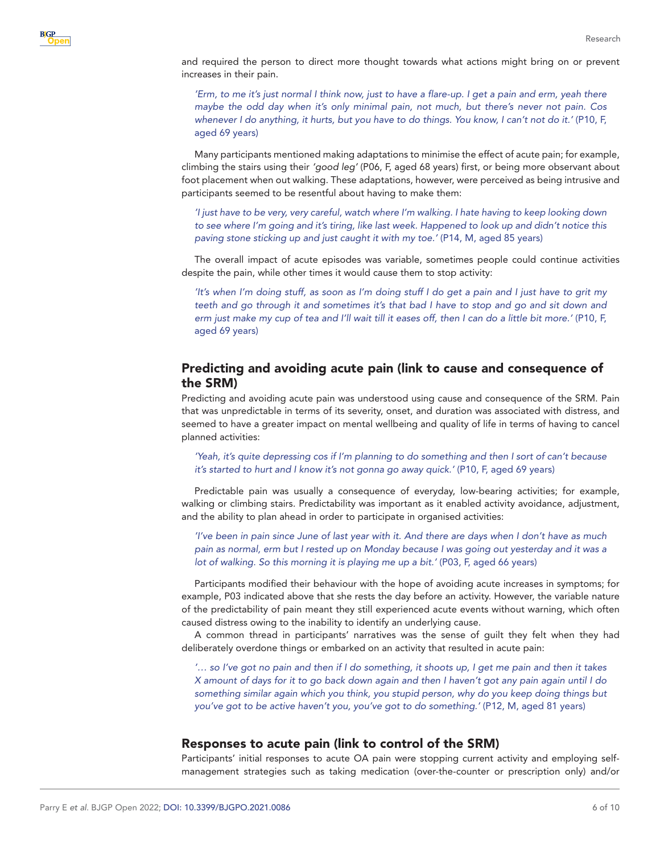and required the person to direct more thought towards what actions might bring on or prevent increases in their pain.

*'Erm, to me it's just normal I think now, just to have a flare-up. I get a pain and erm, yeah there maybe the odd day when it's only minimal pain, not much, but there's never not pain. Cos whenever I do anything, it hurts, but you have to do things. You know, I can't not do it.'* (P10, F, aged 69 years)

Many participants mentioned making adaptations to minimise the effect of acute pain; for example, climbing the stairs using their *'good leg'* (P06, F, aged 68 years) first, or being more observant about foot placement when out walking. These adaptations, however, were perceived as being intrusive and participants seemed to be resentful about having to make them:

*'I just have to be very, very careful, watch where I'm walking. I hate having to keep looking down to see where I'm going and it's tiring, like last week. Happened to look up and didn't notice this paving stone sticking up and just caught it with my toe.'* (P14, M, aged 85 years)

The overall impact of acute episodes was variable, sometimes people could continue activities despite the pain, while other times it would cause them to stop activity:

*'It's when I'm doing stuff, as soon as I'm doing stuff I do get a pain and I just have to grit my teeth and go through it and sometimes it's that bad I have to stop and go and sit down and erm just make my cup of tea and I'll wait till it eases off, then I can do a little bit more.'* (P10, F, aged 69 years)

## Predicting and avoiding acute pain (link to cause and consequence of the SRM)

Predicting and avoiding acute pain was understood using cause and consequence of the SRM. Pain that was unpredictable in terms of its severity, onset, and duration was associated with distress, and seemed to have a greater impact on mental wellbeing and quality of life in terms of having to cancel planned activities:

*'Yeah, it's quite depressing cos if I'm planning to do something and then I sort of can't because it's started to hurt and I know it's not gonna go away quick*.*'* (P10, F, aged 69 years)

Predictable pain was usually a consequence of everyday, low-bearing activities; for example, walking or climbing stairs. Predictability was important as it enabled activity avoidance, adjustment, and the ability to plan ahead in order to participate in organised activities:

*'I've been in pain since June of last year with it. And there are days when I don't have as much pain as normal, erm but I rested up on Monday because I was going out yesterday and it was a lot of walking. So this morning it is playing me up a bit.'* (P03, F, aged 66 years)

Participants modified their behaviour with the hope of avoiding acute increases in symptoms; for example, P03 indicated above that she rests the day before an activity. However, the variable nature of the predictability of pain meant they still experienced acute events without warning, which often caused distress owing to the inability to identify an underlying cause.

A common thread in participants' narratives was the sense of guilt they felt when they had deliberately overdone things or embarked on an activity that resulted in acute pain:

*'… so I've got no pain and then if I do something, it shoots up, I get me pain and then it takes X amount of days for it to go back down again and then I haven't got any pain again until I do something similar again which you think, you stupid person, why do you keep doing things but you've got to be active haven't you, you've got to do something.'* (P12, M, aged 81 years)

## Responses to acute pain (link to control of the SRM)

Participants' initial responses to acute OA pain were stopping current activity and employing selfmanagement strategies such as taking medication (over-the-counter or prescription only) and/or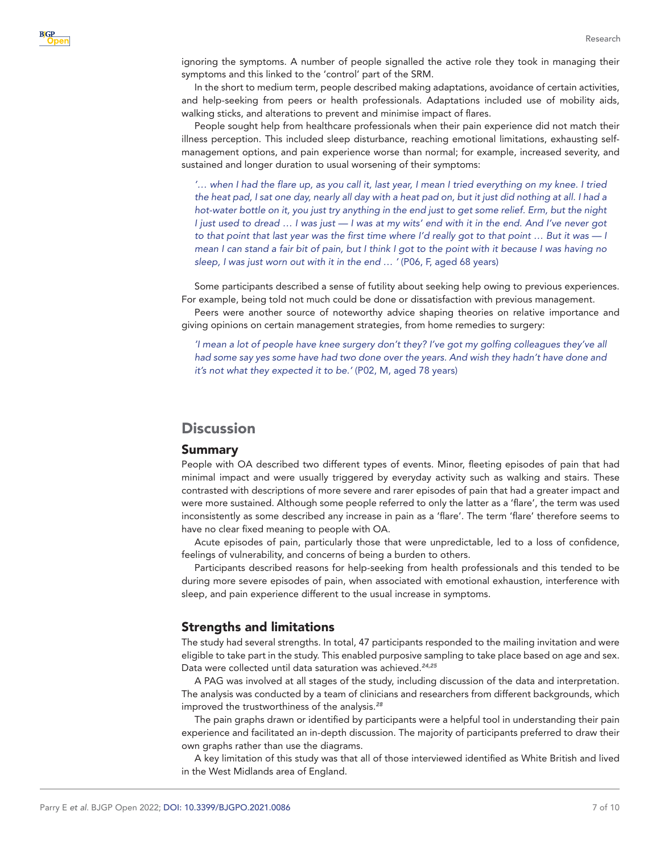

ignoring the symptoms. A number of people signalled the active role they took in managing their symptoms and this linked to the 'control' part of the SRM.

In the short to medium term, people described making adaptations, avoidance of certain activities, and help-seeking from peers or health professionals. Adaptations included use of mobility aids, walking sticks, and alterations to prevent and minimise impact of flares.

People sought help from healthcare professionals when their pain experience did not match their illness perception. This included sleep disturbance, reaching emotional limitations, exhausting selfmanagement options, and pain experience worse than normal; for example, increased severity, and sustained and longer duration to usual worsening of their symptoms:

*'… when I had the flare up, as you call it, last year, I mean I tried everything on my knee. I tried the heat pad, I sat one day, nearly all day with a heat pad on, but it just did nothing at all. I had a hot-water bottle on it, you just try anything in the end just to get some relief. Erm, but the night I just used to dread … I was just — I was at my wits' end with it in the end. And I've never got to that point that last year was the first time where I'd really got to that point … But it was — I mean I can stand a fair bit of pain, but I think I got to the point with it because I was having no sleep, I was just worn out with it in the end … '* (P06, F, aged 68 years)

Some participants described a sense of futility about seeking help owing to previous experiences. For example, being told not much could be done or dissatisfaction with previous management.

Peers were another source of noteworthy advice shaping theories on relative importance and giving opinions on certain management strategies, from home remedies to surgery:

*'I mean a lot of people have knee surgery don't they? I've got my golfing colleagues they've all had some say yes some have had two done over the years. And wish they hadn't have done and it's not what they expected it to be.'* (P02, M, aged 78 years)

# **Discussion**

#### Summary

People with OA described two different types of events. Minor, fleeting episodes of pain that had minimal impact and were usually triggered by everyday activity such as walking and stairs. These contrasted with descriptions of more severe and rarer episodes of pain that had a greater impact and were more sustained. Although some people referred to only the latter as a 'flare', the term was used inconsistently as some described any increase in pain as a 'flare'. The term 'flare' therefore seems to have no clear fixed meaning to people with OA.

Acute episodes of pain, particularly those that were unpredictable, led to a loss of confidence, feelings of vulnerability, and concerns of being a burden to others.

Participants described reasons for help-seeking from health professionals and this tended to be during more severe episodes of pain, when associated with emotional exhaustion, interference with sleep, and pain experience different to the usual increase in symptoms.

#### Strengths and limitations

The study had several strengths. In total, 47 participants responded to the mailing invitation and were eligible to take part in the study. This enabled purposive sampling to take place based on age and sex. Data were collected until data saturation was achieved.*[24,25](#page-9-8)*

A PAG was involved at all stages of the study, including discussion of the data and interpretation. The analysis was conducted by a team of clinicians and researchers from different backgrounds, which improved the trustworthiness of the analysis.*[28](#page-9-11)*

The pain graphs drawn or identified by participants were a helpful tool in understanding their pain experience and facilitated an in-depth discussion. The majority of participants preferred to draw their own graphs rather than use the diagrams.

A key limitation of this study was that all of those interviewed identified as White British and lived in the West Midlands area of England.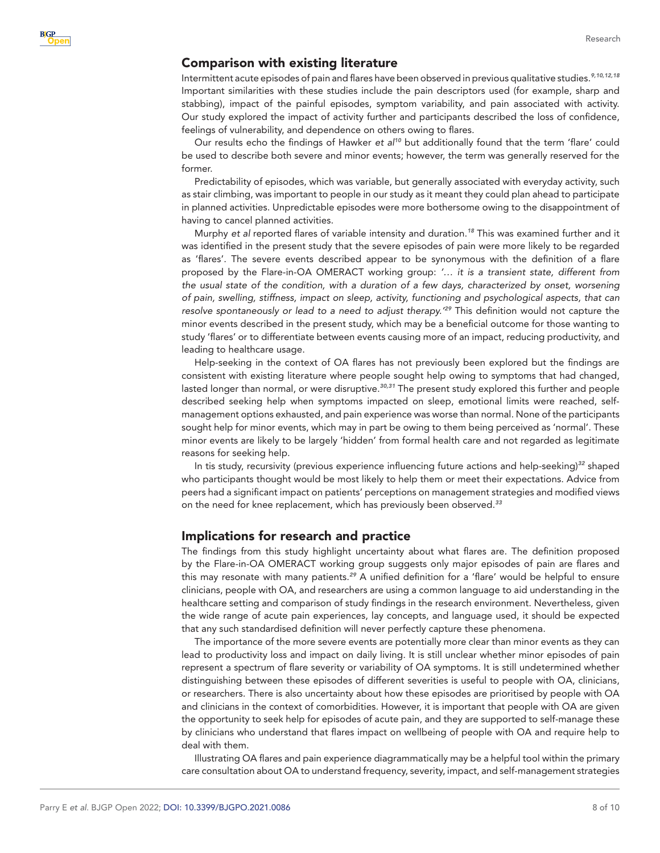#### Comparison with existing literature

Intermittent acute episodes of pain and flares have been observed in previous qualitative studies.*[9,10,12,18](#page-8-13)* Important similarities with these studies include the pain descriptors used (for example, sharp and stabbing), impact of the painful episodes, symptom variability, and pain associated with activity. Our study explored the impact of activity further and participants described the loss of confidence, feelings of vulnerability, and dependence on others owing to flares.

Our results echo the findings of Hawker *et al[10](#page-8-12)* but additionally found that the term 'flare' could be used to describe both severe and minor events; however, the term was generally reserved for the former.

Predictability of episodes, which was variable, but generally associated with everyday activity, such as stair climbing, was important to people in our study as it meant they could plan ahead to participate in planned activities. Unpredictable episodes were more bothersome owing to the disappointment of having to cancel planned activities.

Murphy *et al* reported flares of variable intensity and duration.*[18](#page-9-2)* This was examined further and it was identified in the present study that the severe episodes of pain were more likely to be regarded as 'flares'. The severe events described appear to be synonymous with the definition of a flare proposed by the Flare-in-OA OMERACT working group: *'… it is a transient state, different from the usual state of the condition, with a duration of a few days, characterized by onset, worsening of pain, swelling, stiffness, impact on sleep, activity, functioning and psychological aspects, that can resolve spontaneously or lead to a need to adjust therapy.'[29](#page-9-12)* This definition would not capture the minor events described in the present study, which may be a beneficial outcome for those wanting to study 'flares' or to differentiate between events causing more of an impact, reducing productivity, and leading to healthcare usage.

Help-seeking in the context of OA flares has not previously been explored but the findings are consistent with existing literature where people sought help owing to symptoms that had changed, lasted longer than normal, or were disruptive.*[30,31](#page-9-13)* The present study explored this further and people described seeking help when symptoms impacted on sleep, emotional limits were reached, selfmanagement options exhausted, and pain experience was worse than normal. None of the participants sought help for minor events, which may in part be owing to them being perceived as 'normal'. These minor events are likely to be largely 'hidden' from formal health care and not regarded as legitimate reasons for seeking help.

In tis study, recursivity (previous experience influencing future actions and help-seeking)*[32](#page-9-14)* shaped who participants thought would be most likely to help them or meet their expectations. Advice from peers had a significant impact on patients' perceptions on management strategies and modified views on the need for knee replacement, which has previously been observed.*[33](#page-9-15)*

#### Implications for research and practice

The findings from this study highlight uncertainty about what flares are. The definition proposed by the Flare-in-OA OMERACT working group suggests only major episodes of pain are flares and this may resonate with many patients.*[29](#page-9-12)* A unified definition for a 'flare' would be helpful to ensure clinicians, people with OA, and researchers are using a common language to aid understanding in the healthcare setting and comparison of study findings in the research environment. Nevertheless, given the wide range of acute pain experiences, lay concepts, and language used, it should be expected that any such standardised definition will never perfectly capture these phenomena.

The importance of the more severe events are potentially more clear than minor events as they can lead to productivity loss and impact on daily living. It is still unclear whether minor episodes of pain represent a spectrum of flare severity or variability of OA symptoms. It is still undetermined whether distinguishing between these episodes of different severities is useful to people with OA, clinicians, or researchers. There is also uncertainty about how these episodes are prioritised by people with OA and clinicians in the context of comorbidities. However, it is important that people with OA are given the opportunity to seek help for episodes of acute pain, and they are supported to self-manage these by clinicians who understand that flares impact on wellbeing of people with OA and require help to deal with them.

Illustrating OA flares and pain experience diagrammatically may be a helpful tool within the primary care consultation about OA to understand frequency, severity, impact, and self-management strategies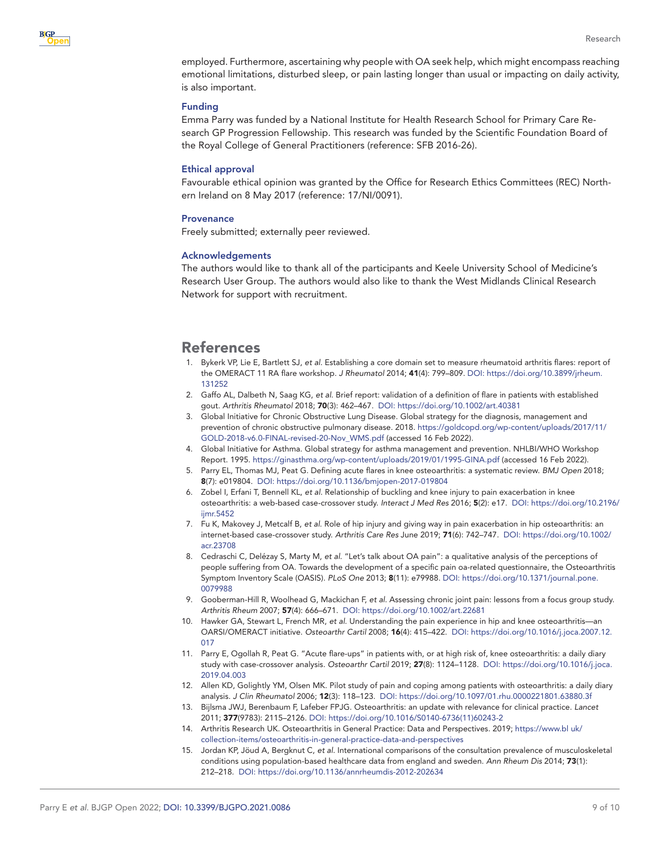

employed. Furthermore, ascertaining why people with OA seek help, which might encompass reaching emotional limitations, disturbed sleep, or pain lasting longer than usual or impacting on daily activity, is also important.

#### Funding

Emma Parry was funded by a National Institute for Health Research School for Primary Care Research GP Progression Fellowship. This research was funded by the Scientific Foundation Board of the Royal College of General Practitioners (reference: SFB 2016-26).

#### Ethical approval

Favourable ethical opinion was granted by the Office for Research Ethics Committees (REC) Northern Ireland on 8 May 2017 (reference: 17/NI/0091).

#### **Provenance**

Freely submitted; externally peer reviewed.

#### Acknowledgements

The authors would like to thank all of the participants and Keele University School of Medicine's Research User Group. The authors would also like to thank the West Midlands Clinical Research Network for support with recruitment.

## References

- <span id="page-8-0"></span>1. Bykerk VP, Lie E, Bartlett SJ, *et al*. Establishing a core domain set to measure rheumatoid arthritis flares: report of the OMERACT 11 RA flare workshop. *J Rheumatol* 2014; 41(4): 799–809. DOI: [https://doi.org/10.3899/jrheum.](https://doi.org/10.3899/jrheum.131252) [131252](https://doi.org/10.3899/jrheum.131252)
- <span id="page-8-1"></span>2. Gaffo AL, Dalbeth N, Saag KG, *et al*. Brief report: validation of a definition of flare in patients with established gout. *Arthritis Rheumatol* 2018; 70(3): 462–467. DOI: <https://doi.org/10.1002/art.40381>
- <span id="page-8-2"></span>3. Global Initiative for Chronic Obstructive Lung Disease. Global strategy for the diagnosis, management and prevention of chronic obstructive pulmonary disease. 2018. [https://goldcopd.org/wp-content/uploads/2017/11/](https://goldcopd.org/wp-content/uploads/2017/11/GOLD-2018-v6.0-FINAL-revised-20-Nov_WMS.pdf) [GOLD-2018-v6.0-FINAL-revised-20-Nov\\_WMS.pdf](https://goldcopd.org/wp-content/uploads/2017/11/GOLD-2018-v6.0-FINAL-revised-20-Nov_WMS.pdf) (accessed 16 Feb 2022).
- <span id="page-8-3"></span>4. Global Initiative for Asthma. Global strategy for asthma management and prevention. NHLBI/WHO Workshop Report. 1995. <https://ginasthma.org/wp-content/uploads/2019/01/1995-GINA.pdf>(accessed 16 Feb 2022).
- <span id="page-8-4"></span>5. Parry EL, Thomas MJ, Peat G. Defining acute flares in knee osteoarthritis: a systematic review. *BMJ Open* 2018; 8(7): e019804. DOI: <https://doi.org/10.1136/bmjopen-2017-019804>
- <span id="page-8-5"></span>6. Zobel I, Erfani T, Bennell KL, *et al*. Relationship of buckling and knee injury to pain exacerbation in knee osteoarthritis: a web-based case-crossover study. *Interact J Med Res* 2016; 5(2): e17. DOI: [https://doi.org/10.2196/](https://doi.org/10.2196/ijmr.5452) [ijmr.5452](https://doi.org/10.2196/ijmr.5452)
- <span id="page-8-6"></span>7. Fu K, Makovey J, Metcalf B, *et al*. Role of hip injury and giving way in pain exacerbation in hip osteoarthritis: an internet-based case-crossover study. *Arthritis Care Res* June 2019; 71(6): 742–747. DOI: [https://doi.org/10.1002/](https://doi.org/10.1002/acr.23708) [acr.23708](https://doi.org/10.1002/acr.23708)
- <span id="page-8-7"></span>8. Cedraschi C, Delézay S, Marty M, *et al*. "Let's talk about OA pain": a qualitative analysis of the perceptions of people suffering from OA. Towards the development of a specific pain oa-related questionnaire, the Osteoarthritis Symptom Inventory Scale (OASIS). *PLoS One* 2013; 8(11): e79988. DOI: [https://doi.org/10.1371/journal.pone.](https://doi.org/10.1371/journal.pone.0079988) [0079988](https://doi.org/10.1371/journal.pone.0079988)
- <span id="page-8-13"></span>9. Gooberman-Hill R, Woolhead G, Mackichan F, *et al*. Assessing chronic joint pain: lessons from a focus group study. *Arthritis Rheum* 2007; 57(4): 666–671. DOI:<https://doi.org/10.1002/art.22681>
- <span id="page-8-12"></span>10. Hawker GA, Stewart L, French MR, *et al*. Understanding the pain experience in hip and knee osteoarthritis—an OARSI/OMERACT initiative. *Osteoarthr Cartil* 2008; 16(4): 415–422. DOI: [https://doi.org/10.1016/j.joca.2007.12.](https://doi.org/10.1016/j.joca.2007.12.017) [017](https://doi.org/10.1016/j.joca.2007.12.017)
- <span id="page-8-8"></span>11. Parry E, Ogollah R, Peat G. "Acute flare-ups" in patients with, or at high risk of, knee osteoarthritis: a daily diary study with case-crossover analysis. *Osteoarthr Cartil* 2019; 27(8): 1124–1128. DOI: [https://doi.org/10.1016/j.joca.](https://doi.org/10.1016/j.joca.2019.04.003) [2019.04.003](https://doi.org/10.1016/j.joca.2019.04.003)
- 12. Allen KD, Golightly YM, Olsen MK. Pilot study of pain and coping among patients with osteoarthritis: a daily diary analysis. *J Clin Rheumatol* 2006; 12(3): 118–123. DOI: <https://doi.org/10.1097/01.rhu.0000221801.63880.3f>
- <span id="page-8-9"></span>13. Bijlsma JWJ, Berenbaum F, Lafeber FPJG. Osteoarthritis: an update with relevance for clinical practice. *Lancet* 2011; 377(9783): 2115–2126. DOI: [https://doi.org/10.1016/S0140-6736\(11\)60243-2](https://doi.org/10.1016/S0140-6736(11)60243-2)
- <span id="page-8-10"></span>14. Arthritis Research UK. Osteoarthritis in General Practice: Data and Perspectives. 2019; [https://www.bl uk/](https://www.bl%20uk/collection-items/osteoarthritis-in-general-practice-data-and-perspectives) [collection-items/osteoarthritis-in-general-practice-data-and-perspectives](https://www.bl%20uk/collection-items/osteoarthritis-in-general-practice-data-and-perspectives)
- <span id="page-8-11"></span>15. Jordan KP, Jöud A, Bergknut C, *et al*. International comparisons of the consultation prevalence of musculoskeletal conditions using population-based healthcare data from england and sweden. *Ann Rheum Dis* 2014; 73(1): 212–218. DOI:<https://doi.org/10.1136/annrheumdis-2012-202634>